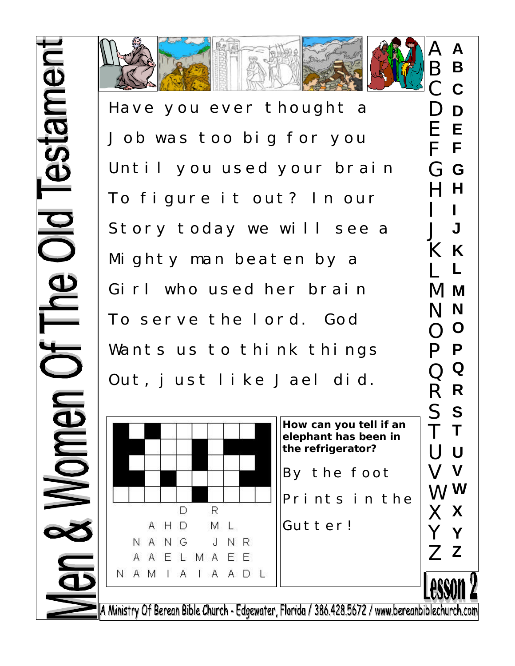



Have you ever thought a Job was too big for you Until you used your brain To figure it out? In our Story today we will see a Mighty man beaten by a Girl who used her brain To serve the lord. God Wants us to think things Out, just like Jael did.



A Ministry Of Berean Bible Church - Edgewater, Florida / 386.428.5672 / www.bereanbiblechurch.com

**A**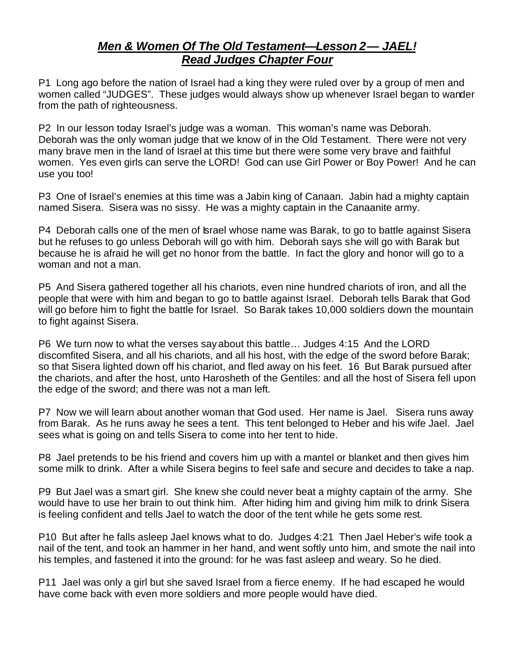## *Men & Women Of The Old Testament—Lesson 2— JAEL! Read Judges Chapter Four*

P1 Long ago before the nation of Israel had a king they were ruled over by a group of men and women called "JUDGES". These judges would always show up whenever Israel began to wander from the path of righteousness.

P2 In our lesson today Israel's judge was a woman. This woman's name was Deborah. Deborah was the only woman judge that we know of in the Old Testament. There were not very many brave men in the land of Israel at this time but there were some very brave and faithful women. Yes even girls can serve the LORD! God can use Girl Power or Boy Power! And he can use you too!

P3 One of Israel's enemies at this time was a Jabin king of Canaan. Jabin had a mighty captain named Sisera. Sisera was no sissy. He was a mighty captain in the Canaanite army.

P4 Deborah calls one of the men of Israel whose name was Barak, to go to battle against Sisera but he refuses to go unless Deborah will go with him. Deborah says she will go with Barak but because he is afraid he will get no honor from the battle. In fact the glory and honor will go to a woman and not a man.

P5 And Sisera gathered together all his chariots, even nine hundred chariots of iron, and all the people that were with him and began to go to battle against Israel. Deborah tells Barak that God will go before him to fight the battle for Israel. So Barak takes 10,000 soldiers down the mountain to fight against Sisera.

P6 We turn now to what the verses say about this battle… Judges 4:15 And the LORD discomfited Sisera, and all his chariots, and all his host, with the edge of the sword before Barak; so that Sisera lighted down off his chariot, and fled away on his feet. 16 But Barak pursued after the chariots, and after the host, unto Harosheth of the Gentiles: and all the host of Sisera fell upon the edge of the sword; and there was not a man left.

P7 Now we will learn about another woman that God used. Her name is Jael. Sisera runs away from Barak. As he runs away he sees a tent. This tent belonged to Heber and his wife Jael. Jael sees what is going on and tells Sisera to come into her tent to hide.

P8 Jael pretends to be his friend and covers him up with a mantel or blanket and then gives him some milk to drink. After a while Sisera begins to feel safe and secure and decides to take a nap.

P9 But Jael was a smart girl. She knew she could never beat a mighty captain of the army. She would have to use her brain to out think him. After hiding him and giving him milk to drink Sisera is feeling confident and tells Jael to watch the door of the tent while he gets some rest.

P10 But after he falls asleep Jael knows what to do. Judges 4:21 Then Jael Heber's wife took a nail of the tent, and took an hammer in her hand, and went softly unto him, and smote the nail into his temples, and fastened it into the ground: for he was fast asleep and weary. So he died.

P11 Jael was only a girl but she saved Israel from a fierce enemy. If he had escaped he would have come back with even more soldiers and more people would have died.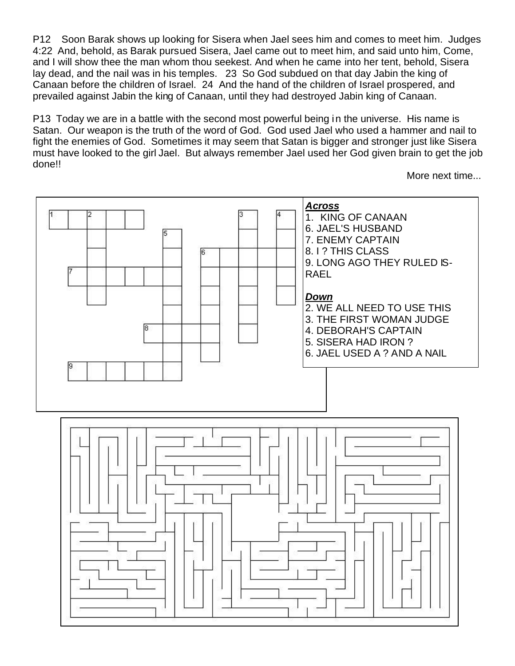P12 Soon Barak shows up looking for Sisera when Jael sees him and comes to meet him. Judges 4:22 And, behold, as Barak pursued Sisera, Jael came out to meet him, and said unto him, Come, and I will show thee the man whom thou seekest. And when he came into her tent, behold, Sisera lay dead, and the nail was in his temples. 23 So God subdued on that day Jabin the king of Canaan before the children of Israel. 24 And the hand of the children of Israel prospered, and prevailed against Jabin the king of Canaan, until they had destroyed Jabin king of Canaan.

P13 Today we are in a battle with the second most powerful being in the universe. His name is Satan. Our weapon is the truth of the word of God. God used Jael who used a hammer and nail to fight the enemies of God. Sometimes it may seem that Satan is bigger and stronger just like Sisera must have looked to the girl Jael. But always remember Jael used her God given brain to get the job done!!

More next time...